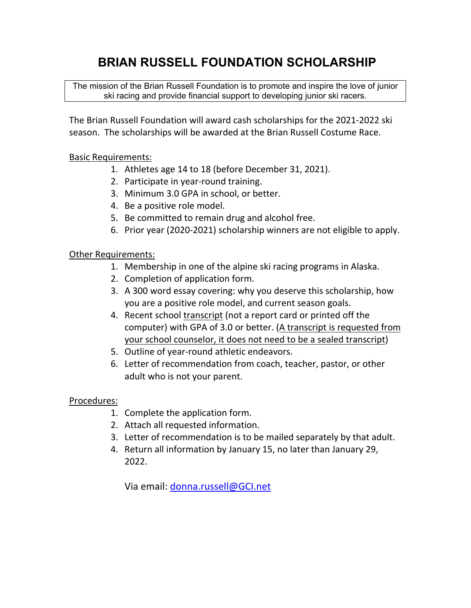# **BRIAN RUSSELL FOUNDATION SCHOLARSHIP**

The mission of the Brian Russell Foundation is to promote and inspire the love of junior ski racing and provide financial support to developing junior ski racers.

The Brian Russell Foundation will award cash scholarships for the 2021‐2022 ski season. The scholarships will be awarded at the Brian Russell Costume Race.

## Basic Requirements:

- 1. Athletes age 14 to 18 (before December 31, 2021).
- 2. Participate in year‐round training.
- 3. Minimum 3.0 GPA in school, or better.
- 4. Be a positive role model.
- 5. Be committed to remain drug and alcohol free.
- 6. Prior year (2020‐2021) scholarship winners are not eligible to apply.

### Other Requirements:

- 1. Membership in one of the alpine ski racing programs in Alaska.
- 2. Completion of application form.
- 3. A 300 word essay covering: why you deserve this scholarship, how you are a positive role model, and current season goals.
- 4. Recent school transcript (not a report card or printed off the computer) with GPA of 3.0 or better. (A transcript is requested from your school counselor, it does not need to be a sealed transcript)
- 5. Outline of year‐round athletic endeavors.
- 6. Letter of recommendation from coach, teacher, pastor, or other adult who is not your parent.

### Procedures:

- 1. Complete the application form.
- 2. Attach all requested information.
- 3. Letter of recommendation is to be mailed separately by that adult.
- 4. Return all information by January 15, no later than January 29, 2022.

Via email: donna.russell@GCI.net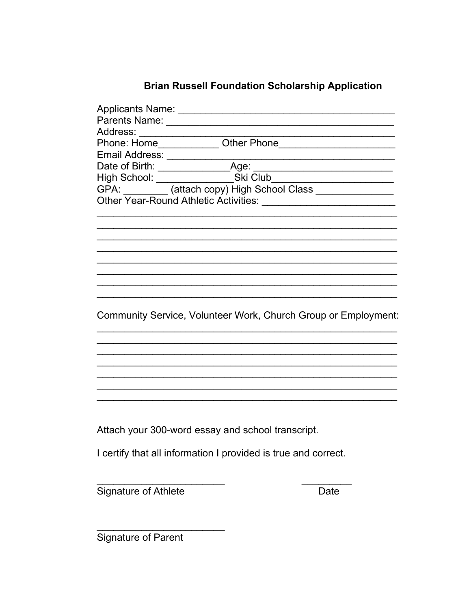# **Brian Russell Foundation Scholarship Application**

| Address:                                                       |  |                                                                |
|----------------------------------------------------------------|--|----------------------------------------------------------------|
|                                                                |  |                                                                |
|                                                                |  |                                                                |
|                                                                |  |                                                                |
|                                                                |  |                                                                |
|                                                                |  |                                                                |
|                                                                |  |                                                                |
|                                                                |  |                                                                |
|                                                                |  |                                                                |
|                                                                |  |                                                                |
|                                                                |  |                                                                |
|                                                                |  |                                                                |
|                                                                |  |                                                                |
|                                                                |  |                                                                |
|                                                                |  |                                                                |
|                                                                |  |                                                                |
|                                                                |  | Community Service, Volunteer Work, Church Group or Employment: |
|                                                                |  |                                                                |
|                                                                |  |                                                                |
|                                                                |  |                                                                |
|                                                                |  |                                                                |
|                                                                |  |                                                                |
|                                                                |  |                                                                |
|                                                                |  |                                                                |
|                                                                |  |                                                                |
|                                                                |  |                                                                |
| Attach your 300-word essay and school transcript.              |  |                                                                |
|                                                                |  |                                                                |
| I certify that all information I provided is true and correct. |  |                                                                |
|                                                                |  |                                                                |
|                                                                |  |                                                                |
| <b>Signature of Athlete</b>                                    |  | Date                                                           |

Signature of Parent